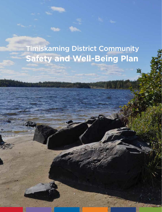# Timiskaming District Community **Safety and Well-Being Plan**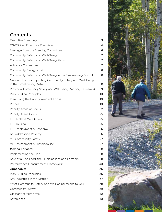## **Contents**

|              | <b>Executive Summary</b>                                                                  | 3  |
|--------------|-------------------------------------------------------------------------------------------|----|
|              | <b>CSWB Plan Executive Overview</b>                                                       | 4  |
|              | Message from the Steering Committee                                                       | 6  |
|              | Community Safety and Well-Being                                                           | 7  |
|              | Community Safety and Well-Being Plans                                                     | 7  |
|              | <b>Advisory Committee</b>                                                                 | 7  |
|              | Community Background                                                                      | 8  |
|              | Community Safety and Well-Being in the Timiskaming District                               | 8  |
|              | National Factors Impacting Community Safety and Well-Being<br>in the Timiskaming District | 8  |
|              | Provincial Community Safety and Well-Being Planning Framework                             | 9  |
|              | Plan Guiding Principles                                                                   | 10 |
|              | Identifying the Priority Areas of Focus                                                   | 10 |
|              | Process                                                                                   | 10 |
|              | Priority Areas of Focus                                                                   | 12 |
|              | <b>Priority Areas Goals</b>                                                               | 25 |
| $\mathbf{L}$ | Health & Well-being                                                                       | 25 |
| Ш.           | Housing                                                                                   | 25 |
|              | III. Employment & Economy                                                                 | 26 |
|              | IV. Addressing Poverty                                                                    | 26 |
|              | V. Community Safety                                                                       | 27 |
|              | VI. Environment & Sustainability                                                          | 27 |
|              | <b>Moving Forward</b>                                                                     | 28 |
|              | Implementing the Plan                                                                     | 28 |
|              | Role of a Plan Lead, the Municipalities and Partners                                      | 28 |
|              | Performance Measurement Framework                                                         | 30 |
|              | <b>Appendixes</b>                                                                         | 36 |
|              | Plan Guiding Principles                                                                   | 36 |
|              | Key Industries in the District                                                            | 37 |
|              | What Community Safety and Well-being means to you?                                        | 38 |
|              | Community Survey                                                                          | 39 |
|              | Glossary of Acronyms                                                                      | 40 |
|              | References                                                                                | 40 |
|              |                                                                                           |    |

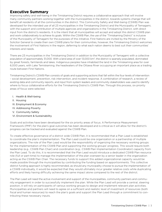## **Executive Summary**

Improving safety and well-being in the Timiskaming District requires a collaborative approach that will involve many community partners working together with the municipalities in the district, towards systems change that will benefit all residents of all the communities in the district. This Community Safety and Well-being (CSWB) Plan was developed for the intended use of all 23 municipalities in the Timiskaming District and the Municipality of Temagami, with the support and contribution of multiple agencies and organizations in the Timiskaming District, with direct input from the district's residents. It is the intent that all municipalities will accept and adopt this district CSWB plan and work collaboratively to achieve its goals. Within the CSWB Plan, the use of the "Timiskaming District" is inclusive of the Municipality of Temagami for the purposes of this initiative. First Nations are invited by the Ministry of the Solicitor General to create their own CSWB plans for their communities, however, the Timiskaming District welcomes the involvement of First Nations in the region, deferring to what each nation deems to best suit their communities' interests and needs.

There are 23 municipalities in the Timiskaming District in addition to the Municipality of Temagami with a collective population of approximately 31,000. With a land area of over 13,000 km2, the district is sparsely populated, dominated by great forests, farmlands and lakes. Indigenous peoples have inhabited the land in the Timiskaming area for over 6,000 years, with Lake Temiskaming, the headwaters of the Ottawa River occupying an important place as a trading route between First Nations.

Timiskaming District's CSWB Plan consists of goals and supporting actions that fall within the four levels of intervention – social development, prevention, risk intervention, and incident response. A combination of research, a review of existing data and community reports, and input from system leaders and community stakeholders was used to identify where to focus collaborative efforts for the Timiskaming District's CSWB Plan. Through this process, six priority areas of focus were selected:

- I. Health & Well-being
- II. Housing
- III. Employment & Economy
- IV. Addressing Poverty
- V. Community Safety
- VI. Environment & Sustainability

Goals and activities have been developed for the six priority areas of focus. A Performance Measurement Framework (PMF) for the plan's goal outcomes has been developed and is critical as it will allow for the district's progress can be tracked and evaluated against the CSWB Plan.

To create effective governance of a district wide CSWB Plan, it is recommended that a Plan Lead is established to coordinate the plan's implementation. The Plan Lead could be one organization or a partnership of multiple organizations. The role of the Plan Lead would be the responsibility of organizing the necessary working groups for the implementation of the CSWB Plan and supporting the working groups' progress. This would require both leadership (e.g., CSWB Plan Chair) and coordination (e.g., CSWB Plan Implementation Coordinator) capacity from the Plan Lead. To do this, it is recommended that the Plan Lead would introduce a dedicated CSWB Plan resource role (full or part-time) to manage the implementation of the plan overseen by a senior leader in the organization acting as the CSWB Plan Chair. The necessary funds to support this added organizational capacity would be made possible through the municipalities by contributing the funding based on apportionments. This collective district funding approach is highly recommended, as should any municipality choose to pursue the implementation of a CSWB individually, it would be expected that they would ultimately incur greater relative costs while duplicating efforts and likely having difficulty achieving the same impact alone compared to the rest of the district.

The Plan Lead will need the active involvement and support of the municipalities, community partners and community engagement in order to successfully implement the plan. While the Plan Lead will provide a central, steering position, it will rely on participants of various working groups to design and implement relevant plan activities. Municipalities and partners will need to agree on a sufficient and realistic level of investment of resources (both fiscal and human resources) to reach the plan's goals and support the Plan Lead through a commitment to contributing these necessary inputs.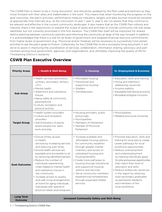The CSWB Plan is meant to be a "living document" and should be updated by the Plan Lead and partners as they move forward with their allies and stakeholders in the work. This means that when monitoring the progress on the goal outcomes, the plan's activities, performance measure indicators, targets and data sources should be revisited at appropriate time intervals (e.g., at the conclusion of year 1, year 3, year 5, etc.) to assess that they continue to be relevant and effective in the current community landscape. It also means that as the CSWB Plan rollouts and matures, there is the opportunity to expand the scope of goals and activities to include community risk sub-areas identified, but not currently prioritized in this first iteration. The CSWB Plan itself will be important for shared district planning between community partners and informing the community at large of the way forward. In addition, it is acknowledged that there is a role for all levels of government and targeted financial resource commitments from higher levels of government (e.g., Provincial and/or Federal) will be necessary to successfully fund certain activities to see the plan's goals to fruition. Collectively, for the CSWB Plan to be a successful living document, it will serve to assist in improving the coordination of services, collaboration, information sharing, advocacy and partnerships among local government, agencies, and organizations, and ultimately improving the quality of life for Timiskaming District's residents.

## **CSWB Plan Executive Overview**

| <b>Priority Areas</b>              | I. Health & Well-Being                                                                                                                                                                                                                                                                                                                                                                                                                                                                                             | <b>II. Housing</b>                                                                                                                                                                                                                                                                                                                                                                                       | <b>III. Employment &amp; Economy</b>                                                                                                                                                                                                                                                                                                                                                                                                                                     |  |  |
|------------------------------------|--------------------------------------------------------------------------------------------------------------------------------------------------------------------------------------------------------------------------------------------------------------------------------------------------------------------------------------------------------------------------------------------------------------------------------------------------------------------------------------------------------------------|----------------------------------------------------------------------------------------------------------------------------------------------------------------------------------------------------------------------------------------------------------------------------------------------------------------------------------------------------------------------------------------------------------|--------------------------------------------------------------------------------------------------------------------------------------------------------------------------------------------------------------------------------------------------------------------------------------------------------------------------------------------------------------------------------------------------------------------------------------------------------------------------|--|--|
| <b>Sub-Areas</b>                   | • Health services (promotion,<br>primary, secondary, tertiary,<br>LTC)<br>• Mental health<br>• Addictions and substance<br>misuse<br>• Aging safely & community<br>paramedicine<br>· Culture, recreation and<br>physical activity                                                                                                                                                                                                                                                                                  | • Affordable housing<br>• Transitional and<br>supportive housing<br>• Shelters<br>• Homelessness                                                                                                                                                                                                                                                                                                         | • Education, skills and training<br>• Hiring and retention/<br>addressing vacancies<br>• Income stability<br>· Equitable/well-being economy<br>· Broadband/digital inclusion                                                                                                                                                                                                                                                                                             |  |  |
| <b>Target Group</b>                | • Health system providers<br>• Culture and recreation<br>providers<br>• Administrators of places<br>where people live, learn,<br>work and play                                                                                                                                                                                                                                                                                                                                                                     | • Housing providers: public<br>and private<br>• Municipalities<br>• Members of Parliament<br>• Member of Provincial<br>Parliament                                                                                                                                                                                                                                                                        | • Municipalities<br>· Related provincial ministries                                                                                                                                                                                                                                                                                                                                                                                                                      |  |  |
| <b>Goal Outcomes</b>               | • Ensure timely access<br>to health<br>services by increasing services<br>and reducing wait times.<br>• Ensure health services are<br>equitable and accessible to all<br>by removing identified barriers.<br>• Reduce the number of<br>individuals experiencing<br>crises related to mental health<br>and substance misuse in<br>the community.<br>• Increase access to quality<br>and safe living arrangements<br>at home for aging individuals,<br>individuals with special or<br>physical needs and caregivers. | • Increase available and<br>affordable housing options<br>for community residents<br>through greater market<br>inventory and access to<br>subsidized housing and<br>housing benefits.<br>• Create more pathways to<br>housing through transitional<br>and supportive housing<br>options and services.<br>• Serve community members<br>experiencing homelessness<br>through expanded shelter<br>services. | • Promote education, skills and<br>training for local jobs to create<br>career pathways for local<br>workforce opportunities.<br>· Reduce unemployment<br>and underemployment<br>by helping individuals apply<br>for jobs and pursue opportunities<br>that match their level of<br>education and skills.<br>· Reduce skilled job vacancies<br>in the region by retaining<br>post-secondary graduates<br>as permanent residents<br>and members of the<br>local workforce. |  |  |
| <b>Long Term</b><br><b>Outcome</b> | <b>Increased Community Safety and Well-Being</b>                                                                                                                                                                                                                                                                                                                                                                                                                                                                   |                                                                                                                                                                                                                                                                                                                                                                                                          |                                                                                                                                                                                                                                                                                                                                                                                                                                                                          |  |  |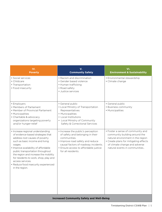| IV.<br><b>Poverty</b>                                                                                                                                                                                                                                                                                                                                                                            | V.<br><b>Community Safety</b>                                                                                                                                                                                                     | VI.<br><b>Environment &amp; Sustainability</b>                                                                                                                                                                     |  |  |
|--------------------------------------------------------------------------------------------------------------------------------------------------------------------------------------------------------------------------------------------------------------------------------------------------------------------------------------------------------------------------------------------------|-----------------------------------------------------------------------------------------------------------------------------------------------------------------------------------------------------------------------------------|--------------------------------------------------------------------------------------------------------------------------------------------------------------------------------------------------------------------|--|--|
| • Social services<br>• Childcare<br>• Transportation<br>• Food insecurity                                                                                                                                                                                                                                                                                                                        | • Racism and discrimination<br>• Gender based violence<br>• Human trafficking<br>• Road safety<br>• Justice services                                                                                                              | • Environmental stewardship<br>• Climate change                                                                                                                                                                    |  |  |
| • Employers<br>• Members of Parliament<br>• Member of Provincial Parliament<br>• Municipalities<br>• Charitable & advocacy<br>organizations targeting poverty<br>and/or hunger-relief                                                                                                                                                                                                            | · General public<br>• Local Ministry of Transportation<br>Representatives<br>• Municipalities<br>• Local Institutions<br>• Local Ministry of Community<br>Safety & Correctional Services                                          | · General public<br>• Business community<br>• Municipalities                                                                                                                                                       |  |  |
| · Increase regional understanding<br>of evidence-based strategies that<br>address root causes of poverty<br>such as basic income and living<br>wages.<br>· Improve availability of affordable<br>public transportation throughout<br>the region and increase the mobility<br>for residents to work, shop, play and<br>access services.<br>• Reduce food insecurity experienced<br>in the region. | • Increase the public's perception<br>of safety and belonging in their<br>communities.<br>· Improve road safety and reduce<br>causal factors of roadway incidents.<br>• Ensure access to affordable justice<br>for all residents. | • Foster a sense of community and<br>community building around the<br>natural environment in the region<br>• Create plans for mitigating effects<br>of climate change and adverse<br>natural events in communities |  |  |
| <b>Increased Community Safety and Well-Being</b>                                                                                                                                                                                                                                                                                                                                                 |                                                                                                                                                                                                                                   |                                                                                                                                                                                                                    |  |  |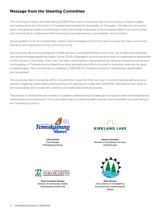## **Message from the Steering Committee**

This Community Safety and Well-Being (CSWB) Plan marks a milestone step on the journey to improve safety and well-being for all in the District of Timiskaming including the Municipality of Temagami. The plan aims to ensure action, recognizing a need to continuously monitor and remain responsive to the emerging needs of our communities and is the result of collaborative efforts among local organizations, municipalities, and the public.

We are grateful to all who shared their wisdom and knowledge to inform the plan including the many community members who responded to the community survey.

We would also like to acknowledge the CSWB Advisory Committee Members who, since July of 2021 have dedicated time and knowledge despite the impact of the COVID-19 pandemic and the resulting strain on organizations represented on the Advisory Committee. Their input has been instrumental in appreciating the needs and assets across diverse municipalities in Timiskaming and identifying what strengths and efforts to build on and what more can be done to address gaps. Their commitment to creating a CSWB Plan for Timiskaming and by Timiskaming is appreciated and recognized.

We would also like to recognize LBCG Consulting for Impact for their services in conducting data gathering and analysis, engaging stakeholders and facilitating rich dialogue to create this CSWB Plan. Recognition also goes to all municipalities who funded this collective and deliberate planning process.

The process of creating the plan resulted in a greater understanding of challenges and opportunities and strengthened relationships among partners. This is the beginning of a collective path towards improving safety and well-being in the Timiskaming District.



**Chris Oslund**  City Manager, Temiskaming Shores



**Bonnie Sackrider**  Director of Community Services, Kirkland Lake



**Kerry Schubert-Mackey**  Director of Community Health, Temiskaming Health Unit



**Mark Stewart**  CAO, District of Timiskaming Social Services Administration Board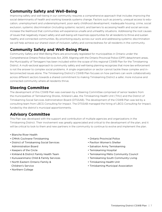## **Community Safety and Well-Being**

Improving safety and well-being in our community requires a comprehensive approach that includes improving the social determinants of health and working towards systems change. Factors such as poverty, unequal access to education, unemployment and underemployment, poor early childhood development, inadequate housing, crime, social exclusion, systemic discrimination (including systemic racism), and barriers to accessing health and social services increase the likelihood that communities will experience unsafe and unhealthy situations. Addressing the root causes of issues that negatively impact safety and well-being will maximize opportunities for all residents to thrive and sustain healthy and connected communities. By prioritizing equity across our work and addressing systemic discrimination we will help achieve our shared vision of inclusion, safety and connectedness for all residents in the community.

## **Community Safety and Well-Being Plans**

Community Safety and Well-Being Plans are provincially legislated for municipalities in Ontario under the Comprehensive Ontario Police Services Act, 2019. Aligning with the Ontario Provincial Police (OPP) detachment areas, the Municipality of Temagami has been included within the scope of this regional CSWB Plan for the Timiskaming District. A multi-sectoral approach to community safety and well-being planning recognizes that more law enforcement is not the answer to complex social problems. A single organization or sector cannot tackle these complex and interconnected issues alone. The Timiskaming District's CSWB Plan focuses on how partners can work collaboratively across different sectors towards a shared commitment to making Timiskaming District a safer, more inclusive and connected community where all residents thrive.

## **Steering Committee**

The development of this CSWB Plan was overseen by a Steering Committee comprised of senior leaders from the municipalities of Temiskaming Shores, Kirkland Lake, the Timiskaming Health Unit (THU) and the District of Timiskaming Social Services Administration Board (DTSSAB). The development of the CSWB Plan was led by a consulting team from LBCG Consulting for Impact. The DTSSAB managed the hiring of LBCG Consulting for Impact, funded by the district's municipal apportionments.

## **Advisory Committee**

This Plan was developed with the support and contribution of multiple agencies and organizations in the Timiskaming District. Their involvement was greatly appreciated and critical to the development of the plan, and it will be critical to look to them and new partners in the community to continue to evolve and implement the plan.

- Blanche River Health
- CMHA Cochrane-Timiskaming
- District of Timiskaming Social Services Administration Board
- Keepers of the Circle
- Kirkland & District Family Health Team
- Kunuwanimano Child & Family Services
- North Eastern Ontario Family & Children's Service
- Northern College
- Ontario Provincial Police
- Pavilion Women's Shelter
- Salvation Army Temiskaming
- Temiskaming Hospital
- Temiskaming Métis Community Council
- Temiskaming South Community Living
- Timiskaming Health Unit
- Timiskaming Municipal Association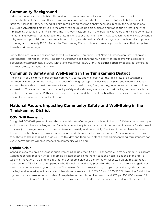## **Community Background**

Indigenous peoples have inhabited the land in the Timiskaming area for over 6,000 years. Lake Temiskaming, the headwaters of the Ottawa River, has always occupied an important place as a trading route between First Nations. A large territory surrounding Lake Temiskaming has traditionally been occupied by the Algonquin people. European settlers first arrived in the area when coureurs de bois explored and traded fur in what is now the Timiskaming District, in the 17<sup>th</sup> century. The first towns established in the area, New Liskeard and Haileybury on Lake Temiskaming were both established in the late 1890's, but at that time the only way to reach the towns was by canoe or by steamer up the lake in the summer, before mining and the arrival of railroads greatly stimulated development in the region in the early 1900s. Today, the Timiskaming District is home to several provincial parks that recognize these historic waterways.

Today there are 23 municipalities and three First Nations – Temagami First Nation, Matachewan First Nation and Beaverhouse First Nation – in the Timiskaming District, in addition to the Municipality of Temagami with a collective population of approximately 31,000<sup>'</sup>. With a land area of over 13,000 km<sup>2</sup>, the district is sparsely populated, dominated by great forests, farmlands and lakes.

## **Community Safety and Well-Being in the Timiskaming District**

The Ministry of Solicitor General defines community safety and well-being as "the ideal state of a sustainable community where everyone is safe, has a sense of belonging, opportunities to participate, and where individuals and families are able to meet their needs for education, health care, food, housing, income, and social and cultural expression." This emphasizes that community safety and well-being are more than just having our basic needs met and being free from crime. Rather, it encompasses the social determinants of health and many aspects of our social, physical, emotional and spiritual well-being.

## **National Factors Impacting Community Safety and Well-Being in the Timiskaming District**

### **COVID-19 Pandemic**

The global COVID-19 pandemic and the provincial state of emergency declared in March 2020 has created a unique environment and new challenges that Canadians collectively face as a nation. It has resulted in waves of widespread closures, job or wage losses and increased isolation, anxiety and uncertainty. Realities of the pandemic have introduced drastic changes in how we went about our daily lives for the past two years. Many of us would not have thought to still be managing the virus still to this day, and there will potentially be significant long-term impacts not yet understood that will have impacts on community well-being.

### **Opioid Crisis**

Canadians saw the opioid overdose crisis worsening during the COVID-19 pandemic with many communities across Canada reporting record numbers of opioid-related deaths, emergency calls and hospitalizations. In the first 15 weeks of the COVID-19 pandemic in Ontario, 695 people died of a confirmed or suspected opioid related death, representing a 38% increase compared to the 15 weeks immediately preceding the pandemic.<sup>2</sup> An investigation of the district's corner cases suggests that the Timiskaming District is experiencing an opioid crisis through the presence of a high and increasing incidence of accidental overdose deaths in 2019/20 and 2020/21.3 Timiskaming District has high substance misuse rates with rates of hospitalizations attributed to opioid use at 27.2 per 100,000 versus 13.7 per 100,000 in Ontario4, yet there are gaps in available inpatient addictions services for residents of the district.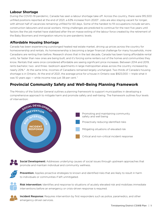### **Labour Shortage**

During the COVID-19 pandemic, Canada has seen a labour shortage take off. Across the country, there were 915,500 unfilled positions reported at the end of 2021, a 63% increase from 20205. Jobs are also staying vacant for longer, with almost half of vacancies remaining unfilled for 60 days. Some of the hardest to fill occupations include servers, construction labourers and social workers. Hiring challenges are predicted to continue for the next five years until factors like the job market have stabilized after the en masse exiting of the labour force created by the retirement of the Baby Boomers and immigration returns to pre-pandemic levels.

### **Affordable Housing Shortage**

Canada has been experiencing a prolonged heated real estate market, driving up prices across the country for homeownership and rentals. As homeownership is becoming a larger financial challenge for many households, more Canadians are renting than before. Research shows that in the last decade, Canada has been losing affordable rental units, far faster than new ones are being built, and it's forcing some renters out of the homes and communities they know. Rentals that were once considered affordable are seeing significant price increases. Between 2014 and 2019, rents bachelor, two- and three- bedroom apartments in large metropolitan areas across the country increased by nearly 20%.6 At the same time, incomes of Canadians remained largely unchanged. Two thirds of Canada's housing shortage is in Ontario. At the end of 2021, the average price for a house in Ontario was \$923,000 — triple what it was 10 years ago — while income rose just 38 per cent.<sup>7</sup>

## **Provincial Community Safety and Well-Being Planning Framework**

The Ministry of the Solicitor General outlines a planning framework to support municipalities in developing a comprehensive approach to mitigate harm and promote safety and well-being. The framework outlines four levels of intervention:



Social Development: Addresses underlying causes of social issues through upstream approaches that promote and maintain individual and community wellness.

Prevention: Applies proactive strategies to known and identified risks that are likely to result in harm to individuals or communities if left unmitigated.

Risk Intervention: Identifies and response to situations of acutely elevated risk and mobilizes immediate interventions before an emergency or crisis-driven response is required.



**Incident Response:** Requires intervention by first responders such as police, paramedics, and other emergency-driven services.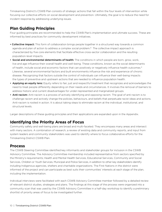Timiskaming District's CSWB Plan consists of strategic actions that fall within the four levels of intervention while focusing our collective efforts on social development and prevention. Ultimately, the goal is to reduce the need for incident response by addressing underlying issues.

## **Plan Guiding Principles**

Four guiding principles are recommended to help the CSWB Plan's implementation and ultimate success. These are informed by best practices for community development initiatives.

- Collective impact: This form of collaboration brings people together in a structured way towards a common agenda and plan of action to address a complex social problem.<sup>8</sup> The collective impact approach is characterized by five core elements that facilitate effective cross-sector collaboration and the resulting population-level impacts.
- Social and environmental determinants of health: The conditions in which people are born, grow, work, live and age influence their overall health and well-being. These conditions, known as the social determinants of health, include social and economic factors that can positively or negatively influence health outcomes.<sup>9</sup> Likewise, several environmental factors and built environments influence the risk and experience of chronic disease. Recognizing that factors outside the control of individuals can influence their well-being impacts the types of preventive and upstream actions that are needed to influence population health.
- Applying an equity lens: Equity refers to fair, just and respectful treatment that recognizes and acknowledges the need to treat people differently depending on their needs and circumstances. It involves the removal of barriers to address historic and current disadvantages for under-represented and marginalized groups.
- Anti-racism: Anti-racism is a process of actively identifying and opposing racism. The goal of anti-racism is to challenge racism and actively change the policies, behaviours, and beliefs that perpetuate racist ideas and actions. Anti-racism is rooted in action. It is about taking steps to eliminate racism at the individual, institutional, and structural levels.

Larger descriptions of these guiding principles and their applications are expanded upon in the Appendix.

## **Identifying the Priority Areas of Focus**

Community safety and well-being plans are broad and multi-faceted. They encompass many areas and intersect with many sectors. A combination of research, a review of existing data and community reports, and input from system leaders and community stakeholders was used to identify where to focus collaborative efforts for the Timiskaming District CSWB Plan.

## **Process**

The CSWB Steering Committee identified key informants and stakeholder groups for inclusion in the CSWB Advisory Committee. The Advisory Committee membership included representative from sectors specified by the Ministry's requirements; Health and Mental Health Services, Educational Services, Community and Social Services, Children or Youth Services, Municipal and Police Services, in addition to other key stakeholders identify including Indigenous agencies, shelters and charitable organizations. The First Nations in the district were informed of the project and can participate as best suits their communities' interests at each stage of the plan, including the implementation.

Individual interviews were facilitated with each CSWB Advisory Committee member followed by a detailed review of relevant district studies, strategies and plans. The findings at this stage of the process were organized into a community scan that was used by the CSWB Advisory Committee in a half-day workshop to identify a preliminary shortlist of priority areas of focus to be investigated further.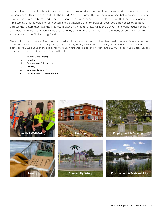The challenges present in Timiskaming District are interrelated and can create a positive feedback loop of negative consequences. This was explored with the CSWB Advisory Committee, as the relationship between various conditions, causes, core problems and effects/consequences were mapped. This helped affirm that the issues facing Timiskaming District were interconnected and that multiple priority areas of focus would be necessary to best address the factors that have the greatest impact on the community. While the CSWB framework focuses on risks, the goals identified in the plan will be successful by aligning with and building on the many assets and strengths that already exist in the Timiskaming District.

The shortlist of priority areas of focus was validated and honed in on through additional key stakeholder interviews, small group discussions and a District Community Safety and Well-being Survey. Over 500 Timiskaming District residents participated in the district survey. Building upon the additional information gathered, in a second workshop, the CSWB Advisory Committee was able to outline the six areas of focus prioritized in this plan:

- I. Health & Well-Being
- II. Housing
- III. Employment & Economy
- IV. Poverty
- V. Community Safety
- VI. Environment & Sustainability

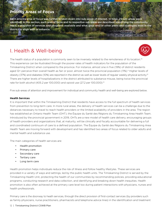## **Priority Areas of Focus**

Each priority area of focus was further broken down into sub-areas of interest. In total, 25 sub-areas were identified. In this section, each area of focus and its respective sub-areas are described; identifying the community need, a snapshot of services and programs available and what gaps and/or other plans and strategies exist in the district to align with or enhance.

## I. Health & Well-being



The health status of a population is commonly seen to be inversely related to the remoteness of its location.<sup>10</sup> This experience can be illustrated through the poorer rates of health indicators for the population of the Timiskaming District when compared to the province. For instance, almost one in five (19%) of district residents aged 12+ perceive their overall health as fair or poor, almost twice the provincial population (11%).<sup>11</sup> Higher levels of obesity (37%) and diabetes (10%) are reported in the district as well as lower levels of regular weekly physical activity.12 There are higher levels of hospitalizations in the district attributed to substance misuse, being twice the provincial rate for both alcohol (405.2 per 100,000) and opioid use (27.2 per 100,000).<sup>13</sup>

Five sub-areas of attention and improvement for individual and community health and well-being are explored below.

#### **Health Services**

It is important that within the Timiskaming District that residents have access to the full spectrum of health services from prevention to long-term care. In more rural areas, the delivery of health services can be a challenge due to the distances necessary to travel to reach health providers or the limited availability of providers in the area. The region has established an Ontario Health Team (OHT), the Équipe du Santé des Régions du Timiskaming Area Health Team. Introduced by the provincial government in 2019, OHTs are a new model of health care delivery, encouraging groups of health providers and organizations that, at maturity, will be clinically and fiscally accountable for delivering a full and coordinated continuum of care to a defined population. The Équipe du Santé des Régions du Timiskaming Area Health Team are moving forward with development and has identified two areas of focus related to older adults and mental health and substance use.

The main categories of health services are:

- Health promotion
- Primary care
- Secondary care
- Tertiary care
- Long term care

Health promotion helps individuals reduce the risk of illness and follow healthy lifestyles. These services are provided in a variety of ways and settings, led by the public health units. The Timiskaming District is served by the Timiskaming Health Unit, protecting the health of our communities by recommending policies, providing educational programs, conducting research and data collection, and identifying and breaking down health inequities. Health promotion is also often achieved at the primary care level too during patient interactions with physicians, nurses and health professionals.

Primary care is the doorway to heath services, through the direct provision of first-contact services (by providers such as family physicians, nurse practitioners, pharmacists and telephone advice lines) in the identification and treatment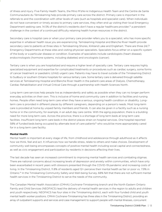of illness and injury. Five Family Health Teams, the Mino M'shki-ki Indigenous Health Team and the Centre de Sante Communautaire du Témiskaming help provide primary care across the district. Primary care is important in the referrals to and the coordination with other levels of care (such as hospitals and specialist care). When individuals do not have convenient or timely access to primary care services, they often end up visiting their local Emergency Department seeking care. 14.5% of the district's residents don't have a regular healthcare provider,<sup>14</sup> a persistent challenge in the context of a continued difficulty retaining health human resources in the district.

Secondary care is hospital care or when your primary care provider refers you to a specialist, who has more specific expertise in whatever health issue you are experiencing. Temiskaming Hospital and Blanche River Health provide secondary care to patients at three sites in Temiskaming Shores, Kirkland Lake and Englehart. There are three 24/7 Emergency Departments at these sites and visiting physician specialists. Specialists focus either on a specific system of the body or a particular disease or condition. Examples of specialists include cardiologists (heart disease), endocrinologists (hormone systems, including diabetes) and oncologists (cancer).

Tertiary care is when you are hospitalized and require a higher level of specialty care. Tertiary care requires highly specialized equipment and expertise for complicated treatments or procedures such as cardiac surgery, some forms of cancer treatment or paediatric (child) urgent care. Patients may have to travel outside of the Timiskaming District to Sudbury or southern Ontario hospitals for various tertiary care. Some tertiary care is delivered through satellite services at Temiskaming Hospital and Blanche River Health in the patient-care areas of Dialysis, Chemotherapy, Cardiac Rehabilitation and Virtual Critical Care through a partnership with Health Sciences North.

Long term care services help people live as independently and safely as possible when they can no longer perform everyday activities on their own. This is inclusive of home and community care in addition to facilities and nursing homes. People often need long-term care when they have a serious, ongoing health condition or disability. Longterm care is provided in different places by different caregivers, depending on a person's needs. Most long-term care is provided at home by unpaid family members and friends. It can also be given in a facility such as a nursing home or in the community, for example, in an adult day care centre. With the aging population, there is a building need for more long term care. Across the province, there is a shortage of long term beds at long term care facilities. Insufficient long term care beds in the district places strain on hospital services. One hospital reported 58% of funded beds being occupied by alternate level of care patients<sup>15</sup> who would be more appropriately cared for in a long term care facility.

#### **Mental Health**

Mental health is important at every stage of life, from childhood and adolescence through adulthood as it affects how we think, feel and act. It influences how we handle stress, relate to others and make choices. Development of community well-being encompasses concepts of positive mental health including social capital and connectedness, as well as civic engagement and participation by residents in decisions affecting their lives.

The last decade has seen an increased commitment to improving mental health services and combating stigmas. There are national concerns about increasing levels of depression and anxiety within communities, which have only been exacerbated in recent years with stressors presented through the COVID-19 pandemic and increasing costs of living. In the Timiskaming District, 11.8% of residents aged 12+ perceive their mental health as fair or poor vs. 7.9% in Ontario.16 In the Timiskaming Community Safety and Well-being Survey, 68% felt that there are not sufficient mental health services in the Timiskaming District to serve the needs of the community.

The Canadian Mental Health Association (CMHA) Cochrane-Timiskaming branch and the North Eastern Ontario Family and Child Services (NEOFACS) lead the delivery of mental health services in the region to adults and children and youth respectively. NEOFACS has four sites in the Timiskaming district, each with four funded child and youth mental health worker positions. CMHA Cochrane-Timiskaming has three sites in the Timiskaming District, providing an array of outpatient supports and services and case management to support people with mental illnesses, concurrent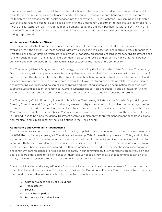disorders (people living with a mental illness and an addiction/substance misuse) and dual diagnosis (developmental disability and serious mental illness) to access early intervention, intensive support, housing and peer supports. Partnerships help expand mental health services into the community. CMHA Cochrane-Timiskaming in partnership with the Temiskaming Hospital places a social worker in the Emergency Department to help reduce readmissions. A Mobile Crises Response Team (MCRT) is in development, led by the CMHA in partnership with the OPP. With a mix of OPP officers and CMHA crisis workers, the MCRT will improve crisis response services and mental health referrals during response calls.

#### **Addictions and Substance Misuse**

The Timiskaming District has high substance misuse rates, yet there are no inpatient addictions services currently available within the district. For those seeking withdrawal services, the closest options require to travel to facilities in Smooth Rock Falls or Timmins which are regularly at full capacity, presenting challenges for securing treatment beds for individuals in need. In the Timiskaming Community Safety and Well-being Survey, 60% felt that there are not sufficient addiction services in the Timiskaming District to serve the needs of the community.

The Timiskaming District Drug and Alcohol Strategy, co-chaired by the THU and the CMHA Cochrane-Timiskaming Branch, is working with many service agencies on ways to prevent and address harms associated with the continuum of substance use. The strategy is based on the pillars of prevention, harm reduction, treatment and enforcement, and includes an opioid early warning and response system. It will work to strengthen systems related to responding to and preventing overdoses and poisonings, recognizing and disrupting stigma and discrimination associated with substance use and addiction, enhancing pathways to substance use services and supports, and advocate for funding, resources, and public policy to address the root causes of substance use and substance use disorders.

The Timiskaming Opioid Poisoning Prevention Task Force, Timiskaming Substance Use Disorder Support Program Steering Committee and Change for Timiskaming are each independent community bodies that have organized in response to the Opioid Crisis and high levels of substance misuse present in the district. The Northeastern Recovery Centre was incorporated in September 2021 in pursuit of repurposing the former Pineger youth detainment facility in Kirkland Lake to be a new residential treatment centre to implement withdrawal management beds (medical and non-medical) and explore recovery housing options in the Timiskaming.

#### **Aging Safely and Community Paramedicine**

There is a need to accommodate the needs of the aging population, which continues to increase. It is estimated that by 2024, the number of people aged 65 and over will make up 20% of the nation's population.<sup>17</sup> This growth in the aging population will continue to put added pressure on health and community service providers in the district to keep up with the increasing demand for services, where services are already limited. In the Timiskaming Community Safety and Well-being Survey, 85% agreed that their community needs additional seniors housing, assisted living and long term care residences to help people age safely in our communities. It is important to proactively plan and act to prepare older adults to take into account their various needs as they age, so that communities can enjoy a quality of life for all residents, regardless of their physical or mental capabilities.

Some municipalities produce Age-Friendly Community Plans to coordinate the development of communities that promote active and healthy aging. To guide municipalities, the Ontario Age-Friendly Communities Outreach Initiative developed the eight dimensions which make up an Age-Friendly community:

- 1. Outdoor Spaces and Public Buildings
- 2. Transportation
- 3. Housing
- 4. Social Participation
- 5. Respect and Social Inclusion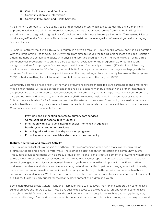- 6. Civic Participation and Employment
- 7. Communication and Information
- 8. Community Support and Health Services

Age-Friendly Community Plans outline goals and objectives, often to achieve outcomes the eight dimensions to promote active aging within communities, remove barriers that prevent seniors from leading fulfilling lives, and allow seniors to age with dignity in a safe environment. While not all municipalities in the Timiskaming District produce Age-Friendly Community Plans, those that do exist can be leveraged to inform and guide district aging safety activities.

A Seniors Centre Without Walls (SCWW) program is delivered through Timiskaming Home Support in collaboration with the Timiskaming Health Unit. The SCWW program aims to reduce the feeling of loneliness and social isolation among homebound seniors and adults with physical disabilities aged 55+ in the Timiskaming region using a free conference call type platform to engage participants.18 An evaluation of the program in 2019 found a strong recognized value of the program from surveyed participants. Almost all participants (97%) indicated that they would choose to stay in the SCWW program and 84% of participants responded that they were happy with the program. Furthermore, two-thirds of participants felt like they belonged to a community because of the program (58%) or had something to look forward to and felt better because of the program (65%).

Community paramedicine is a relatively new and evolving healthcare model. It allows paramedics and emergency medical technicians (EMTs) to operate in expanded roles by assisting with public health and primary healthcare and preventive services to underserved populations in the community. Some rural patients lack access to primary care and use 9-1-1 and emergency medical services (EMS) to receive health care in non-emergency situations. This can create a burden for EMS personnel and health systems in rural areas. Community paramedics can work in a public health and primary care role to address the needs of rural residents in a more efficient and proactive way. Community paramedics generally focus on:

- Providing and connecting patients to primary care services
- Completing post-hospital follow-up care
- Integration with local public health agencies, home health agencies, health systems, and other providers
- Providing education and health promotion programs
- Providing services not available elsewhere in the community

#### **Culture, Recreation and Physical Activity**

The Timiskaming District is a mosaic of northern Ontario communities with a rich history overlaying a region of great outdoors and extensive waterways. The district is a destination for recreation and community events. This culture provides residents with a particular quality of life and is an attractive element in drawing new members to the district. Three-quarters of residents in the Timiskaming District report a somewhat strong or very strong sense of belonging to their local community.19 Maintaining vibrant communities is important to continue to attract businesses, residents, and visitors and foster a strong cultural sector. Participation and engagement with the arts, culture, and recreation benefit community well-being by contributing to better physical and mental health and community social dynamics. While access to culture, recreation and leisure opportunities are important for residents of all ages, it is particularly critical for the healthy development of children and youth.

Some municipalities create Cultural Plans and Recreation Plans to proactively monitor and support their communities' cultural, creative and leisure outlets. These plans outline objectives to develop robust, fun, and resilient communities through the social factors that encompass the environment in which people live, such as gathering places, arts, culture and heritage, food and entertainment, business and commerce. Cultural Plans recognize the unique cultural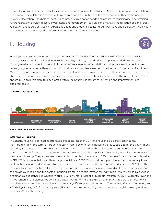groups found within communities, for example, the Francophone, First Nation, Métis, and Anglophone populations, and support the celebration of their cultural events and contributions to the social fabric of their communities. Likewise, Recreation Plans help to identify a community's recreation needs, and assists the municipality in determining future recreation service delivery, investment, and development, to guide and manage the direction of parks, trails, recreation and leisure services, programs, facilities and amenities. Existing Cultural Plans and Recreation Plans within the district can be leveraged to inform and guide district CSWB activities.

## II. Housing

Housing is a large concern for residents of the Timiskaming District. There is a shortage of affordable and available housing across the district. Local industry booms (e.g., mining) periodically have placed added pressure on the housing market and affect prices as influxes of workers seek accommodations during their employment. More recently, a greater volume than normal of individuals and families were seen moving north from parts of southern Ontario during the pandemic as there was increased migration from urban centres. There is an imperative need for strategies that address affordable housing shortages experienced in Timiskaming District throughout the housing spectrum. Within this plan, four sub-areas within the housing spectrum for attention and improvement are explored below.



#### The Housing Spectrum

**Source: Canada Mortgage and Housing Corporation**

#### **Affordable Housing**

In Canada, housing is defined as affordable if it costs less than 30% of a household's before-tax income. Many people think the term "affordable housing" refers only to rental housing that is subsidized by the government. In reality, it's a very broad term that can include housing provided by the private, public and non-profit sectors. It also includes all forms of housing tenure: rental, ownership and co-operative ownership, as well as temporary and permanent housing. The percentage of residents in the district who spend 30% or more of their income on housing is 21%.20 This is somewhat lower than the provincial rate (28%). This could be in part due to the substantially lower costs of housing in the district (median monthly shelter costs for rented dwellings in the district is \$691)<sup>21</sup> than the provincial average, which is reflective of more urban areas. However, the district's median total income is less than the provincial median and the costs of housing are still a financial stretch for individuals who rely on social services and financial assistance like Ontario Works (OW) or Ontario Disability Support Program (ODSP). Currently, over one in five renters in the district, reside in subsidized housing.<sup>22</sup> The DTSSAB has over 600 units across 34 locations in the district, however, there are still waitlists, most significantly for seniors. In the Timiskaming Community Safety and Well-being Survey, half of the participants (49%) felt that their community is not proactive enough in creating options to improve affordable housing.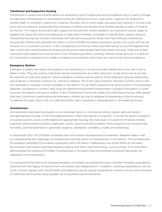#### **Transitional and Supportive Housing**

Transitional or supportive housing refers to a temporary type of supportive accommodation that is meant to bridge the gap from homelessness to permanent housing by offering structure, supervision, supports (for addictions, mental health or domestic violence for instance), life skills, and in some cases, education and training. It is more long term, service-intensive, and private than emergency shelters yet remains time limited typically to stays of three to six months. It is meant to provide a safe, supportive environment where residents can overcome trauma, begin to address the issues that led to homelessness or kept them homeless, and begin to rebuild their support network. Transitional housing can connect individuals with tailored resources for those who have difficulty maintaining housing like CMHA's rent subsidies for clients, or the DTSSAB's homeless prevention worker who works with at-risk tenants to try to prevent evictions. In the Timiskaming Community Safety and Well-being Survey, 67% agreed that their community needs additional transitional housing to help people reach permanent housing. There are limited transitional and supportive housing units in the Timiskaming District currently. Without these services, it is difficult for individuals to separate from unsafe or enabling environments when they can't secure new accommodations

#### **Emergency Shelters**

Emergency shelters are places for people to live temporarily or access overnight shelter when they don't have a place to stay. They are used by individuals facing homelessness as a harm reduction model and to serve as hubs for relevant services and supports. Some emergency shelters are focused on those fleeing an abusive relationship, sexual abuse or domestic violence (i.e., women's shelters). This is the case of Pavilion Women's Centre, which is the only emergency housing currently available in the district. For all others experiencing various forms of homelessness (episodic, situational or chronic), they must be referred and provided transportation outside of the district in order to access emergency housing or shelter. In the Timiskaming Community Safety and Well-being Survey, 54% agreed that their community needs enhanced emergency shelter services to address homelessness in the community. To address this gap, Zack's Crib, a is safe bed facility, that is presently in development in Temiskaming Shores.

#### **Homelessness**

Homelessness describes the situation of an individual, family or community without stable, safe, permanent and appropriate housing, or the immediate prospect, means and ability to acquire it. It can be the result of systemic or societal barriers, a lack of affordable and appropriate housing, the individual or household's financial, mental, cognitive, behavioural or physical challenges, and/or racism and discrimination. Most people do not choose to be homeless, and the experience is generally negative, unpleasant, unhealthy, unsafe, and distressing.

In September 2021, the DTSSAB completed their most recent Homelessness Enumeration. Baseline data is vital to understanding the challenges of homelessness and the extent of homelessness in the district. The Homelessness Enumeration identified 53 homeless individuals within the district. Additionally, two-thirds (62%) of Homeless Enumeration participants reported regularly staying with family and friends (e.g., couch surfing). This information demonstrates the presence of hidden homelessness in the district and the potential of several individuals not captured in the enumeration.

It is recognized that there is an overrepresentation of Indigenous peoples amongst Canadian homeless populations resulting from the legacy of trauma from colonization and displacement. In addition, numerous populations, such as youth, women, people with mental health and addictions issues, people impacted by violence, seniors, and members of LGBTQ2S communities are at greater risk of experiencing homelessness.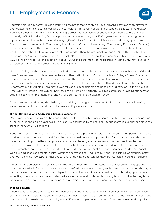## III. Employment & Economy



Education plays an important role in determining the health status of an individual, creating pathways to employment and greater income levels. This can also affect health by influencing social and psychological factors like greater perceived personal control.<sup>23</sup> The Timiskaming district has lower levels of education compared to the province. Currently, 18% of Timiskaming District's population between the ages of 25-64 years have less than a high school diploma, almost double the provincial average (10%)<sup>24</sup> : Four District School Boards serve the Anglophone and Francophone communities in Timiskaming in addition to Kiwetin Kikinamading (Timiskaming First Nation, Quebec) and private schools in the district. Two of the district's school boards have a lower percentage of students who graduate high school within five years of starting grade 9 than the provincial average (88%), with one school board reporting 71%.25 While the percentage of the district's and province's population who have a high school diploma or GED as their highest level of education is equal (25%), the percentage of the population with a university degree in the district is a third of the provincial average of 32%.26

Northern College is the post-secondary institution present in the district, with campuses in Haileybury and Kirkland Lake. The campuses include access centres for other institutions for Contact North and College Boreal. There is a history and a partnership between the college and the local industries, leading to curriculum and program development to align with the district's economic needs, for example, mining in the north and agriculture in the south. A partnership with Algoma University allows for various dual diploma and bachelor programs at Northern College. Employment Ontario's Employment Services are delivered on Northern College's campuses, providing support for students seeking employment and funding for adult learners to go back to school.

The sub-areas of addressing the challenges pertaining to hiring and retention of skilled workers and addressing vacancies in the district in addition to income stability were identified.

#### **Hiring, Retention and Addressing Chronic Vacancies**

Recruitment and retention are a challenge, particularly for the health human resources, with providers experiencing high turnover rates and chronic vacancies. This is only exacerbated by the national labour shortage experienced since the start of the COVID-19 pandemic.

Education is critical to enhancing local talent and creating a pipeline of residents who can fill job openings. If district residents can see the local demand for skilled professionals as career opportunities for themselves, and the pathways for them to pursue the appropriate education and training are made clear and accessible, then the need to recruit and retain employees from outside of the district may be able to be alleviated in the future. A challenge in this approach is that there is no university within the district to train health human resources (i.e., doctors, social workers, addictions and mental health) within the communities. Additionally, In the Timiskaming Community Safety and Well-being Survey, 32% felt that educational or training opportunities they are interested in are unaffordable.

Other factors also play an important role in supporting recruitment and retention. Appropriate housing options need to be readily available for recruited candidates and professionals who are moving to the district. Local housing shortages can cause employment contracts to collapse if successful job candidates are unable to find housing options once accepting offers or for candidates to decide to leave prematurely if desirable housing is not found in the long term. Additionally, a strong cultural sector helps to retain residents, attract talent, and support local entrepreneurship.

#### **Income Security**

Income security is one's ability to pay for their basic needs without fear of losing their income source. Factors such as lower minimum wage rates and temporary or casual employment can contribute to income insecurity. Precarious employment in Canada has increased by nearly 50% over the past two decades.<sup>27</sup> There are a few possible policy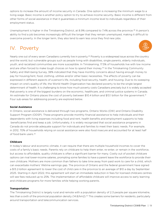options to increase the amount of income security in Canada. One option is increasing the minimum wage to a living wage. Basic income is another policy option to try to achieve income security. Basic income is different from other forms of social assistance in that it guarantees a minimum income level to individuals regardless of their employment status.

Unemployment is higher in the Timiskaming District, at 8.9% compared to 7.4% across the province.<sup>28</sup> A person's ability to find a job becomes increasingly difficult the longer that they remain unemployed, making it difficult to overcome poverty. In the longer term, they also tend to earn less once they find new jobs.

## IV. Poverty

Nearly one out of every seven Canadians currently live in poverty.<sup>29</sup> Poverty is a widespread issue across the country and the world, but vulnerable groups such as people living with disabilities, single parents, elderly individuals, youth, and racialized communities are more susceptible. In Timiskaming, 17.5% of households live with low income and are often forced to make tough choices on how to spend their money.<sup>30</sup> In the Timiskaming Community Safety and Well-being Survey, 38% indicated that they have monthly concerns about having enough money to pay for housing/rent, food, clothing, utilities and/or other basic necessities. The effects of poverty can be expressed in different aspects of a person's life, including food security, health, and housing. Due to its sweeping impact on one's quality of life, the World Health Organization has declared poverty to be the single largest determinant of health. It is challenging to know how much poverty costs Canadians precisely but it is widely accepted that poverty is one of the biggest burdens on the economic, healthcare, and criminal justice systems in Canada. An estimate for Ontario places the cost of poverty between \$10.4 billion and \$13.1 billion for the government.<sup>31</sup> Four sub-areas for addressing poverty are explored below.

#### **Social Assistance**

In Ontario, social assistance is delivered through two programs, Ontario Works (OW) and Ontario Disability Support Program (ODSP). These programs provide monthly financial assistance to help individuals and their dependents with living expenses including food and rent, health benefits and employment supports to help beneficiaries find and keep a job. Unfortunately, it is widely recognized that social assistance programs in Canada do not provide adequate support for individuals and families to meet their basic needs. For example, in 2012, 70% of households relying on social assistance were also food insecure and accounted for at least half of food bank users.32

#### **Childcare**

In today's labour and economic climate, it can require that there are multiple household incomes to cover the costs of a family's basic needs. Parents rely on childcare to help them enter, re-enter, or remain in the workforce, but access to affordable, quality childcare is often a significant barrier for many. Costly out of pocket childcare options can rival lower-income salaries, prompting some families to have a parent leave the workforce to provide their own childcare. Mothers are more common than fathers to take time away from paid work to care for a child, which can exacerbate mothers' lifetime earnings gap. The province of Ontario and the federal government have signed a \$13.2-billion agreement to lower the cost of child care in the province to an average of \$10 a day by September 2025. Starting in April 2022, this agreement will start an immediate reduction in fees for licensed childcare centres will see fees reduced up to 25%. The implementation of affordable childcare will improve access to early learning and childcare programs for more families while helping working parents.

#### **Transportation**

The Timiskaming District is largely rural and remote with a population density of 2.3 people per square kilometre, less than a sixth of the provincial population density (14.8/km2).<sup>33</sup> This creates some barriers for residents, particularly around transportation and telecommunication services.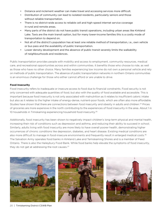- Distance and inclement weather can make travel and accessing services more difficult.
- Distribution of community can lead to isolated residents, particularly seniors and those without reliable transportation.
- There is no district-wide access to reliable cell and high-speed internet service coverage in rural and remote areas.
- Many parts of the district do not have public transit operations, including urban areas like Kirkland Lake. Taxis are the main transit option, but for many lower-income families this is a costly mode of transportation to depend on.
- Not all of the district's population has at least one reliable method of transportation, i.e., own vehicle or bus pass and the availability of public transportation.
- Lower density development and the absence of public transit severely limits the walkability of neighbourhoods and residences.

Public transportation provides people with mobility and access to employment, community resources, medical care, and recreational opportunities across and within communities. It benefits those who choose to ride, as well as those who have no other choice. Many families experiencing low income do not own a personal vehicle and rely on methods of public transportation. The absence of public transportation networks in northern Ontario communities is an enormous challenge for those who either cannot afford or are unable to drive.

#### **Food Insecurity**

Food insecurity refers to inadequate or insecure access to food due to financial constraints. Food security is not only concerned with adequate quantities of food, but also with the quality of food available and accessible. This is important because food insecurity is not only associated with malnutrition as it relates to insufficient caloric intake but also as it relates to the higher intake of energy-dense, nutrient-poor foods, which are often also more affordable. Studies have shown that there are connections between food insecurity and obesity in adults and children.<sup>34</sup> Prices of groceries are more expensive in the north contributing to the experiences of food insecurity in the area. About 1 in 10 households in Timiskaming experiencing household food insecurity.<sup>35</sup>

Additionally, food insecurity has been shown to negatively impact children's long-term physical and mental health, increasing their risk of conditions such as depression and asthma, and reducing their ability to succeed in school. Similarly, adults living with food insecurity are more likely to have overall poorer health, demonstrating higher occurrences of chronic conditions like depression, diabetes, and heart disease. Existing medical conditions are also more difficult to manage in food-insecure environments and frequently result in enlarged medical costs.<sup>36</sup> The Salvation Army operates food banks in Kirkland Lake and Temiskaming Shores and is a member of Feed Ontario. There is also the Haileybury Food Bank. While food banks help elevate the symptoms of food insecurity, they do not get at addressing the root causes.<sup>37</sup>







20 | Timiskaming District CSWB Plan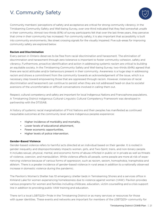## V. Community Safety



Community members' perceptions of safety and acceptance are critical for strong community vibrancy. In the Timiskaming Community Safety and Well-being Survey, over one-third indicated that they feel somewhat unsafe in their community. Almost two-thirds (61%) of survey participants felt that over the last three years, they perceive that crime in their community has increased. For community safety, it is also important that accessibility is built into community environments, like street crossing signals for the visually impaired. Five sub-areas for improving community safety are explored below.

#### **Racism and Discrimination**

Every person in Ontario deserves to be free from racial discrimination and harassment. The elimination of discrimination and harassment through zero tolerance is important to foster community cohesion, safety and vibrancy. Furthermore, proactive identification and action in addressing systemic racism are critical to building an equitable society. In the Timiskaming Community Safety and Well-being Survey, two-thirds (64%) agreed that there are racist attitudes and/or behaviours present in their community. Awareness is a huge step in addressing racism and shows a commitment from the community towards an acknowledgement of the issue, which is a necessary step toward empowering those that are oppressed through racism. However, instances of racial discrimination and harassment can continue to persist when they are not addressed head-on due to societal aversions of the uncomfortable or difficult conversations involved in calling them out.

Respect, cultural competency and safety are important for local Indigenous Nations and Francophone populations. A Timiskaming District Indigenous Cultural-Linguistic Cultural Competency Framework was developed in partnership with the DTSSAB.

A history of systemic racial marginalization of First Nations and their peoples has manifested as continued inequitable outcomes at the community level where Indigenous peoples experience:

- Higher incidence of morbidity and mortality,
- Lower levels of educational attainment,
- Fewer economic opportunities,
- Higher levels of police intervention.

#### **Gender-Based Violence**

Gender-based violence refers to harmful acts directed at an individual based on their gender. It is rooted in gender inequality and disproportionately impacts women, girls, and Two-Spirit, trans, and non-binary people. It includes sexual, physical, mental, and economic forms of abuse inflicted in public or in private as well as threats of violence, coercion, and manipulation. While violence affects all people, some people are more at risk of experiencing violence because of various forms of oppression, such as racism, sexism, homophobia, transphobia and ableism. There is a greater incidence of gender-based violence in rural areas in addition to a nationally observed increase in domestic violence during the pandemic.

The Pavilion's Women's Shelter has 10 emergency shelter beds in Temiskaming Shores and a services office in Kirkland Lake for women experiencing homelessness due to violence against women (VAW). Pavilion provides various programs for women and families including childcare, education, victim counselling and a crisis support line in addition to providing public VAW training and education.

There isn't a local LGBTQ2S+ Pride in the Timiskaming District or as many services or resources for those with queer identities. These events and networks are important for members of the LGBTQ2S+ community for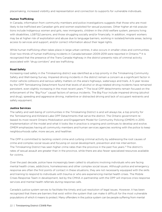placemaking, increased visibility and representation and connection to supports for vulnerable individuals.

#### **Human Trafficking**

In Canada, information from community members and police investigations suggests that those who are most likely to be trafficked are Canadian girls and women exploited for sexual purposes. Other higher at-risk populations include Indigenous women and girls, new immigrants, children in the child welfare system, persons living with disabilities, LGBTQ2 persons, and those struggling socially and/or financially. In addition, migrant workers may be at higher risk of exploitation and abuse due to language barriers, working in isolated/remote areas, lacking access to services and support, and/or correct information about their legal rights.

While human trafficking often takes place in large urban centres, it also occurs in smaller cities and communities. Over two-thirds of human trafficking incidents in Canada between 2009-2019 were reported in Ontario.38 It is recognized that the presence of the Trans Canada Highway in the district presents risks of criminal activity associated with "drug corridors" and sex trafficking.

#### **Road Safety**

Increasing road safety in the Timiskaming district was identified as a top priority in the Timiskaming Community Safety and Well-being Survey. Impaired driving incidents in the district remain a concern as a significant factor in motor vehicle collisions and serious safety matters on the area's highways, waterways and trails. A 5-year review by the OPP Temiskaming Detachment found that levels of alcohol or drug-related driving incidents have remained persistent, even slightly increasing in the most recent years.<sup>39</sup> The local OPP detachments remain focused on the enforcement of the "Big Four" causal factors of serious incidents. The Big Four include impaired driving (alcohol and drug), speeding and aggressive driving, inattentive or distracted driving and lack of occupant restraints and safety equipment.

#### **Justice Services**

The safety and well-being of communities in the Timiskaming District is and will always be, a top priority for the Temiskaming and Kirkland Lake OPP Detachments that serve the district. The Ontario government released its most recent Ontario Mobilization and Engagement Model for Community Policing (OMEM) in 2010. Implementation of the model and what it looks like in practice is ongoing and continues to develop and evolve. OMEM emphasizes having all community members and human services agencies working with the police to keep neighbourhoods safer, more secure, and healthier.

The OPP is committed to tackling violent crime and curbing criminal activity by addressing the root causes of crime and complex social issues and focusing on social development, prevention and risk intervention. The Timiskaming District has seen higher crime rates than the province in the past five years.12 The district's rates of sexual assault are greater than in the province, while there are also fewer specialized resources available for victims.

Over the past decade, police have increasingly been called to situations involving individuals who are facing mental health crises, addictions, homelessness and other complex social issues. Although police and emergency response are often the first points of contact in these situations, they are not necessarily equipped with the skills and training to respond to individuals with trauma or who are experiencing mental health crises. The Mobile Crises Response Team in development, led by the CMHA in partnership with the OPP will improve crisis response services and mental health referrals during response calls.

Canada's justice system serves to facilitate the timely and just resolution of legal issues. However, it has been recognized that there are barriers that exist within the system that can make it difficult for the most vulnerable populations of which it means to protect. Many offenders in the justice system can be people suffering from mental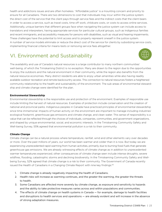health and addictions issues and are often homeless. "Affordable justice" is a mounting concern and priority to ensure for all Canadians. There are two dimensions to cost that individuals may incur within the justice system: the direct cost of the service that the client pays through service fees and the indirect costs that the client bears in order to access a service, such as travel costs, time off work, childcare costs, or costs to access online services. Additionally, unique barriers that different groups face when navigating the justice system can include access to translators and interpreters, having appropriate services for particular cultural groups, such as Indigenous families and recent immigrants, and accessibility measures for persons with disabilities, such as visual and hearing impairments. These challenges have the potential to limit access and to properly represent oneself in the justice system. A number of service models eliminate or reduce the direct cost of the service for clients by subsidizing service costs, implementing financial criteria for means-tests or removing service fees altogether.

## VI. Environment and Sustainability



The availability and use of Canada's natural resources is a large contributor to many northern communities' well-being, of which the Timiskaming District is no exception. Many are drawn to the region due to the opportunities to enjoy the outdoors and the natural environment in their community, while the region also benefits from the natural resource economies. Many district residents are able to enjoy urban amenities while also having readily available outdoor recreation and remote backcountry access. This connection to natural resources fosters a heightened community relationship to the health and sustainability of the environment. The sub-areas of environmental stewardship and climate change were identified for the plan.

#### **Environmental Stewardship**

Environmental stewardship is the responsible use and protection of the environment. Examples of responsible use include limiting the harvest of natural resources. Examples of protection include conservation and the creation of national and provincial parks. Indigenous peoples in Canada have practiced principles of environmental stewardship since time immemorial. Impacts of human activity on the environment are important to manage including industries' ecological footprint, greenhouse gas emissions and climate change, and clean water. This sense of responsibility is a value that can be reflected through the choices of individuals, companies, communities, and government organizations, and shaped by unique environmental, social, and economic interests. In the Timiskaming Community Safety and Well-being Survey, 55% agreed that environmental pollution is a risk to their community.

#### **Climate Change**

Climate change can be a natural process where temperature, rainfall, wind and other elements vary over decades or more. Over the past millions of years, our world has been warmer and colder than it is now. But today we are experiencing unprecedented rapid warming from human activities, primarily due to burning fossil fuels that generate greenhouse gas emissions. We are already witnessing effects of climate change as in addition to unprecedented warmer temperatures experienced, other consequences of climate change seen include intense droughts, severe wildfires, flooding, catastrophic storms and declining biodiversity. In the Timiskaming Community Safety and Wellbeing Survey, 52% agreed that climate change is a risk to their community. The Government of Canada recently issued the Health of Canadians in a Changing Climate Report with nine key findings:40

- 1. Climate change is already negatively impacting the health of Canadians.
- 2. Health risks will increase as warming continues, and the greater the warming, the greater the threats to health.
- 3. Some Canadians are affected more severely by climate change, as exposure and sensitivity to hazards and the ability to take protective measures varies across and within populations and communities.
- 4. The effects of climate change on health systems in Canada for example, damage to health facilities and disruptions to health services and operations — are already evident and will increase in the absence of strong adaptation measures.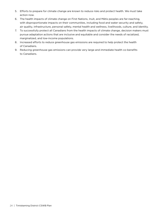- 5. Efforts to prepare for climate change are known to reduce risks and protect health. We must take action now.
- 6. The health impacts of climate change on First Nations, Inuit, and Métis peoples are far-reaching, with disproportionate impacts on their communities, including food and water security and safety, air quality, infrastructure, personal safety, mental health and wellness, livelihoods, culture, and identity.
- 7. To successfully protect all Canadians from the health impacts of climate change, decision makers must pursue adaptation actions that are inclusive and equitable and consider the needs of racialized, marginalized, and low-income populations.
- 8. Increased efforts to reduce greenhouse gas emissions are required to help protect the health of Canadians.
- 9. Reducing greenhouse gas emissions can provide very large and immediate health co-benefits to Canadians.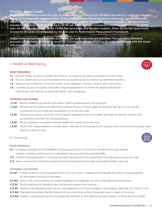#### Priority Areas Goals

18 goals are identified within this plan to direct strategic actions that will focus the district's collective efforts ocial development and prevention. These goals were prioritized based on community need, anticipated impact, and local opportunities. Recognizing the large scope of community services, programs and development included in this plan, goals pertaining to all 25 sub-areas were not included in this first iteration of the CSWB plan. As the implementation of the CSWB Plan processes and the plan matures, there will be the opportunity to expand the goals encompassed by the plan and its Performance Measurement Framework.

Suggested corresponding activities to achieve the goal outcomes are provided. The activities ultimately  $\,$ pursued will be dependent on the resources available when implementing the plan and aligned with the assets and strengths present in the community at the time.

#### I. Health & Well-being



#### **Goal Outcomes:**

- I.1 Ensure timely access to health services by increasing services and reducing wait times.
- I.2 Ensure health services are equitable and accessible to all by removing identified barriers.
- I.3 Reduce the incidence of mental health and substance misuse crises in the community.
- I.4. Increase access to quality and safe living arrangements at home for aging individuals, individuals with special or physical needs, and caregivers.

#### **Activities can include:**

- **I.1.A1** Build coalitions to attract and retain health professionals and services.
- **I.1.A2** Where service gaps are identified increase focus on those gaps to address the lack of service by increasing the services and availability of those services.
- I.2.A1 Develop an equity, diversity and inclusion evaluation tool for health services to identify equity and accessibility barriers for all populations.
- **I.3.A1** Build coalitions to expand mental health and addictions services.
- **I.4.A1** Work with organizations to break down barriers to accessing home support services and encourage older adults to ask for help.

#### II. Housing

#### **Goal Outcomes:**

- II.1 Increase available and affordable housing options for community residents through greater market inventory and access to subsidized housing and housing benefits.
- **II.2** Create more pathways to housing through transitional and supportive housing options and services.
- **II.3** Serve community members experiencing homelessness through expanded shelter services.

#### **Activities can include:**

- **II.1.A1** Create a district housing assessment tool to scope, measure and evaluate the status and availability of affordable housing in the area.
- **II.1.A2** Work with municipalities to create targets and measures for their affordable housing plans.
- **II.2.A1** Build coalitions to develop new social and supportive housing.
- **II.3.A1** Support the development, launch and operations of new shelters in the region, starting with Zack's Crib.
- **II.3.A2** Maintain and utilize the By Name List as a tool to prioritize those who are in need of housing.
- **II.3.A3** Create a working group on housing that adheres to the Reaching Home goals, funding and principles.

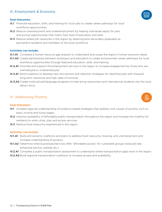### III. Employment & Economy

#### **Goal Outcomes:**

- III.1 Promote education, skills, and training for local jobs to create career pathways for local workforce opportunities.
- III.2 Reduce unemployment and underemployment by helping individuals apply for jobs and pursue opportunities that match their level of education and skills.
- III.3 Reduce skilled job vacancies in the region by retaining post-secondary graduates as permanent residents and members of the local workforce.

#### **Activities can include:**

- **III.1.A1** Complete a human resource gap analysis to understand and scope the region's human resource needs.
- III.1.A2 Create partnerships between employers and educators to create and promote career pathways for local workforce opportunities through featured education, skills, and training.
- III.2.A1 Promote and support the employment services in the region to increase engagement by those who are unemployed or underemployed.
- III.3.A1 Build coalitions to develop new recruitment and retention strategies for identified jobs with frequent long-term vacancies and high rates of turnover.
- III.3.A2 Create multicultural/language programs to help bring newcomers and international students into the local labour force.

#### IV. Addressing Poverty

#### **Goal Outcomes:**

- IV.1 Increase regional understanding of evidence-based strategies that address root causes of poverty such as basic income and living wages.
- IV.2 Improve availability of affordable public transportation throughout the region and increase the mobility for residents to work, shop, play and access services.
- IV.3 Reduce food insecurity experienced in the region.

#### **Activities can include:**

- IV.1.A1 Build anti-poverty coalitions and plans to address food insecurity, housing, and unemployment and increase understanding of poverty.
- IV.1.A2 Determine what businesses/services offer "affordable access" for vulnerable groups (reduced rate, enhanced service, subsidy etc.).
- IV.2.A1 Complete a public transportation assessment to understand where transportation gaps exist in the region.
- IV.2.A2 Build regional transportation coalitions to increase access and availability.



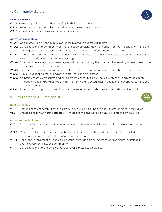### V. Community Safety

#### **Goal Outcomes:**

- V.1 Increase the public's perception of safety in their communities.
- V.2 Improve road safety and reduce causal factors of roadway accidents.
- V.3 Ensure access to affordable justice for all residents.

#### **Activities can include:**

- V.1.A1 Coordinate training and public awareness related to addressing racism.
- V.1.A2 Build coalitions for community cohesiveness by breaking down of barriers between populations and the building of trust and understanding while eliminating stereotypes and misconceptions.
- **V.1.A3** Promote the adoption of organizational training policies and the participation of the public for cultural awareness, safety and competency training.
- V.1.A4 Support violence against women organizations in educating the public and increasing access to resources for victims of gender-based violence.
- V.1.A5 Increase community awareness and understanding of human trafficking through public education.
- **V.2.A1** Public education to make roadways, waterways and trails safer.
- V.2.A2 Maintain proactive measures and enforcement of the "Big Four" causal factors of roadway accidents. (Impaired, speeding/aggressive driving, inattentive/distracted driving and lack of occupant restraint and safety equipment).
- V.3.A1 Promote and support legal services that eliminate or reduce the direct cost of the service for clients.

#### VI. Environment & Sustainability

#### **Goal Outcomes:**

- VI.1 Foster a sense of community and community building around the natural environment in the region
- V1.2 Create plans for mitigating effects of climate change and adverse natural events in communities.

#### **Activities can include:**

- VI.A1 Build coalitions for recreational, advocacy and educational activities around the natural environment in the region.
- VI.A2 Make space for the involvement of the Indigenous communities and their traditional knowledge and expertise in environmental planning for the region.
- VI.A3 Solicit the involvement of resource industries through commitments to environmental sustainability and reinvestments into the community.
- VI.A1 Build coalitions for the development of local climate action plan(s).



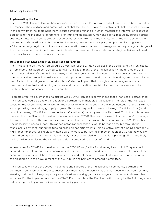### Moving Forward

#### **Implementing the Plan**

For the CSWB Plan's implementation, appropriate and achievable inputs and outputs will need to be affirmed by the municipalities, partners and community stakeholders. Then, the plan's collective stakeholders must then join in the commitment to implement them. Inputs comprise of financial, human, material and information resources dedicated to the initiative/program (e.g., grant funding, dedicated human and capital resources, agreed partnership, etc.). Outputs are direct products or services resulting from the implementation of the plan's activities (e.g., multisector collaboration, clients connected to service, development of a plan, completion of a program, etc.). While community buy-in, coordination and collaboration are important to make gains on the plan's goals, targeted financial resource commitments from senior levels of government to fund relevant strategic activities will need necessary to see the plan's goals to fruition.

#### **Role of the Plan Leads, the Municipalities and Partners**

The Timiskaming District has prepared a CSWB Plan for the 23 municipalities in the district and the Municipality of Temagami. This approach was pursued given the size of many of the municipalities in the district and the interconnectedness of communities as many residents regularly travel between them for services, employment, purchases and leisure. Additionally, many service providers span the entire district, benefiting from one collective plan. A district plan aligns with the principle of Collective Impact, that through a common agenda, shared measurement, mutually reinforcing activities, and communication the district should be more successful at creating change and impact for its communities.

To create effective governance of a district wide CSWB Plan, it is recommended that a Plan Lead is established. The Plan Lead could be one organization or a partnership of multiple organizations. The role of the Plan Lead would be the responsibility of organizing the necessary working groups for the implementation of the CSWB Plan and supporting the working groups' progress. This would require both leadership (e.g., CSWB Plan Chair) and coordination (e.g., CSWB Plan Implementation Coordinator) capacity from the Plan Lead. To do this, it is recommended that the Plan Lead would introduce a dedicated CSWB Plan resource role (full or part-time) to manage the implementation of the plan overseen by a senior leader in the organization acting as the CSWB Plan Chair. The necessary funds to support this added organizational capacity would be made possible through the municipalities by contributing the funding based on apportionments. This collective district funding approach is highly recommended, as should any municipality choose to pursue the implementation of a CSWB individually, it would be expected that they would ultimately incur greater relative costs while duplicating efforts and likely having difficulty achieving the same impact alone compared to the rest of the district.

An example of a CSWB Plan Lead would be the DTSSAB and/or the Timiskaming Health Unit. They are well situated for the role given their organizations' district-wide service mandate and the span and relevance of the scope of their work in relation to community safety and well-being. It would also be a natural continuation of their leadership in the development of the CSWB Plan as part of the Steering Committee.

The Plan Lead will need the active involvement and support of the municipalities, community partners and community engagement in order to successfully implement the plan. While the Plan Lead will provide a central, steering position, it will rely on participants of various working groups to design and implement relevant plan activities. For the implementation of the CSWB Plan, the role of the Plan Lead will primarily be the following areas below, supported by municipalities and community partners.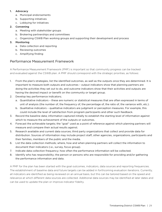#### 1. Advocacy

- a. Municipal endorsements
- b. Supporting initiatives
- c. Lobbying for initiatives

#### 2. Convening

- a. Meeting with stakeholder groups
- b. Brokering partnerships and committees
- c. Organizing CSWB Plan working groups and supporting their development and process

#### 3. Monitoring

- a. Data collection and reporting
- b. Reviewing outcomes
- c. Amplifying finding

### Performance Measurement Framework

A Performance Measurement Framework (PMF) is important so that community progress can be tracked and evaluated against the CSWB plan. A PMF should correspond with the strategic priorities, as follows:

- 1. From the plan's strategies, list the identified outcomes, as well as the outputs once they are determined. It is important to measure both outputs and outcomes – output indicators show that planning partners are doing the activities they set out to do, and outcome indicators show that their activities and outputs are having the desired impact or benefit on the community or target group.
- 2. Develop key performance indicators;
	- a. Quantitative indicators these are numeric or statistical measures that are often expressed in terms of unit of analysis (the number of, the frequency of, the percentage of, the ratio of, the variance with, etc.).
	- b. Qualitative indicators qualitative indicators are judgment or perception measures. For example, this could include the level of satisfaction from program participants and other such feedback.
- 3. Record the baseline data; information captured initially to establish the starting level of information against which to measure the achievement of the outputs or outcomes.
- 4. Forecast the achievable targets; the "goal" used as a point of reference against which planning partners will measure and compare their actual results against.
- 5. Research available and current data sources; third party organizations that collect and provide data for distribution. Sources of information may include project staff, other agencies, organizations, participants and their families, members of the public and the media.
- 6. List the data collection methods; where, how and when planning partners will collect the information to document their indicators (i.e., survey, focus group).
- 7. Indicate data collection frequency; how often the performance information will be collected.
- 8. Identify who has responsibility; the person or persons who are responsible for providing and/or gathering the performance information and data.

A PMF for the plan has been started with the goal outcomes, indicators, data sources and reporting frequencies. The establishment of baseline data and future targets can be added in forthcoming evaluation iterations. Currently, all indicators are identified as being reviewed on an annual basis, but this can be tailored based on the speed and relevance at which different data sources are collected. Additional data sources may be identified at later dates and can be used to update the plan or improve indicator fidelity.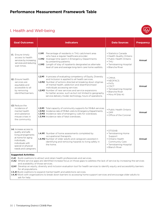## I. Health and Well-being



| <b>Goal Outcomes</b>                                                                                                                                                                                                                                                                                                                                                                                                                                                                                                                       | <b>Indicators</b>                                                                                                                                                                                                                                                                                                                                                                                                                                                          | <b>Data Sources</b>                                                                                                                    | <b>Frequency</b> |  |
|--------------------------------------------------------------------------------------------------------------------------------------------------------------------------------------------------------------------------------------------------------------------------------------------------------------------------------------------------------------------------------------------------------------------------------------------------------------------------------------------------------------------------------------------|----------------------------------------------------------------------------------------------------------------------------------------------------------------------------------------------------------------------------------------------------------------------------------------------------------------------------------------------------------------------------------------------------------------------------------------------------------------------------|----------------------------------------------------------------------------------------------------------------------------------------|------------------|--|
| <b>I.1.</b> Ensure timely<br>access to health<br>services by increasing<br>services and reducing<br>wait times.                                                                                                                                                                                                                                                                                                                                                                                                                            | <b>I.1.M1</b> Percentage of residents in THU catchment area<br>who have a regular healthcare provider.<br><b>I.1.M2</b> Average time spent in Emergency Departments<br>by presenting patients.<br><b>I.1.M3</b> Length of stay of inpatients designated as alternate<br>level of care and average long-term care home waitlists.                                                                                                                                           | • Statistics Canada<br>• Health Quality Ontario<br>• Public Health Ontario<br>$\cdot$ THU<br>• Temiskaming Hospital<br>• Blanche River | Annual           |  |
| <b>I.2.</b> Ensure health<br>services are<br>equitable and<br>accessible to all<br>by removing<br>identified barriers.                                                                                                                                                                                                                                                                                                                                                                                                                     | <b>I.2.M1</b> A process of evaluating competency of Equity, Diversity<br>and Inclusion is applied to all health services.<br><b>I.2.M2</b> Number of actions directed at breaking down stigmas<br>of mental health, addiction and disenfranchised<br>individuals accessing services<br><b>I.2.M3</b> Number of new services and service expansions<br>for better access, such as but not limited to geography,<br>service delivery model, technology, hours of operations. | $\cdot$ CMHA<br>• NEOFACS<br>$\cdot$ FHTs<br>$\cdot$ CSCT<br>• Temiskaming Hospital<br>• Blanche River<br>• Mino M'Shki-Ki             | Annual           |  |
| <b>I.3.</b> Reduce the<br>incidence of<br>mental health<br>and substance<br>misuse crises in<br>the community.                                                                                                                                                                                                                                                                                                                                                                                                                             | I.3.M1 Total capacity of community supports for MH&A services.<br><b>I.3.M2</b> Incidence rate of MH&A visits to Emergency Departments.<br><b>I.3.M3</b> Incidence rate of emergency calls for overdoses.<br><b>I.3.M4</b> Incidence rate of fatal overdoses.                                                                                                                                                                                                              | • Public Health Ontario<br>$\cdot$ OPP<br>• Office of the Coroner                                                                      | Annual           |  |
| <b>I.4.</b> Increase access to<br>quality and safe<br>living arrangements<br>at home for aging<br>individuals.<br>individuals with<br>special or physical<br>needs and caregivers.                                                                                                                                                                                                                                                                                                                                                         | <b>I.4.M1</b> Number of home assessments completed by<br>occupational therapists.<br>I.4.M2 Number of older adults and caregivers assisted in<br>identifying and removing hazards to living safely in<br>the home.                                                                                                                                                                                                                                                         | • DTSSAB<br>• Temiskaming Home<br>Support<br>• Ontario Health<br>Community Care<br>• Temiskaming Hospital<br>• Blanch River            | Annual           |  |
| <b>Suggested Activities:</b><br><b>I.1.A1</b> Build coalitions to attract and retain health professionals and services.<br><b>I.1.A2</b> Where service gaps are identified increase focus on those gaps to address the lack of service by increasing the services<br>and availability of those services.<br>LA ALLA COLORE DE COMBINATION DE LA PRODUCTIVA DI MILITARIA DE LA PRODUCTIVA DE LA PRODUCTIVA DE LA PRODUCTIVA DE LA PRODUCTIVA DEL PRODUCTIVA DE LA PRODUCTIVA DE LA PRODUCTIVA DE LA PRODUCTIVA DE LA PRODUCTIVA DEL PRODUCT |                                                                                                                                                                                                                                                                                                                                                                                                                                                                            |                                                                                                                                        |                  |  |

I.2.A1 Develop an equity, diversity and inclusion evaluation tool for health services to identify equity and accessibility barriers for all populations.

**I.3.A1** Build coalitions to expand mental health and addictions services.

I.4.A1 Work with organizations to break down barriers to accessing home support services and encourage older adults to ask for help.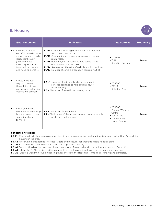## II. Housing



|      | <b>Goal Outcomes</b>                                                                                                                                                                   | <b>Indicators</b>                                                                                                                                                                                                                                                                                                                                                                             | <b>Data Sources</b>                                                                                | <b>Frequency</b> |
|------|----------------------------------------------------------------------------------------------------------------------------------------------------------------------------------------|-----------------------------------------------------------------------------------------------------------------------------------------------------------------------------------------------------------------------------------------------------------------------------------------------------------------------------------------------------------------------------------------------|----------------------------------------------------------------------------------------------------|------------------|
| II.1 | Increase available<br>and affordable housing<br>options for community<br>residents through<br>greater market<br>inventory and access<br>to subsidized housing<br>and housing benefits. | <b>II.1.M1</b> Number of housing development partnerships<br>resulting in new builds<br><b>II.1.M2</b> Community rental vacancy rates and average<br>rental rates.<br>II.1.M3 Percentage of households who spend >30%<br>of income on shelter costs.<br><b>II.1.M4</b> Average wait times for affordable housing applicants.<br><b>II.1.M5</b> Number of seniors present on housing waitlist. | $\cdot$ DTSSAB<br>$\bullet$ TMA<br>• Statistics Canada                                             | Annual           |
|      | <b>II.2</b> Create more path<br>ways to housing<br>through transitional<br>and supportive housing<br>options and services.                                                             | <b>II.2.M1</b> Number of individuals who are engaged in<br>services designed to help obtain and/or<br>retain housing.<br><b>II.2.M2</b> Number of transitional housing units.                                                                                                                                                                                                                 | $\cdot$ DTSSAB<br>$\cdot$ CMHA<br>• Salvation Army                                                 | Annual           |
|      | <b>II.3</b> Serve community<br>members experiencing<br>homelessness through<br>expanded shelter<br>services.                                                                           | <b>II.3.M1</b> Number of shelter beds.<br>II.3.M2 Utilization of shelter services and average length<br>of stay of shelter users.                                                                                                                                                                                                                                                             | $\cdot$ DTSSAB<br>• Pavilion's Women's<br>Centre<br>• Zack's Crib<br>• Timiskaming<br>Home Support | Annual           |

#### **Suggested Activities:**

II.1.A1 Create a district housing assessment tool to scope, measure and evaluate the status and availability of affordable housing in the area.

**II.1.A2** Work with municipalities to create targets and measures for their affordable housing plans.

II.2.A1 Build coalitions to develop new social and supportive housing.

II.3.A1 Support the development, launch and operations of new shelters in the region, starting with Zack's Crib.

**II.3.A2** Utilise the By Name List, and keep current, as a tool to prioritise those who are in need of housing.

**II.3.A3** Create a working group on housing that adheres to the Reaching Home goals, funding and principles.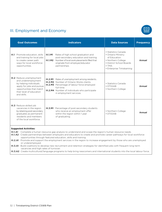## III. Employment and Economy



| <b>Goal Outcomes</b>                                                                                                                                                                                                                                                                                                                                                                                                                                                          |                         | <b>Indicators</b>                                                                                                                                                                                                                                            | <b>Data Sources</b>                                                                                                                                    | <b>Frequency</b> |
|-------------------------------------------------------------------------------------------------------------------------------------------------------------------------------------------------------------------------------------------------------------------------------------------------------------------------------------------------------------------------------------------------------------------------------------------------------------------------------|-------------------------|--------------------------------------------------------------------------------------------------------------------------------------------------------------------------------------------------------------------------------------------------------------|--------------------------------------------------------------------------------------------------------------------------------------------------------|------------------|
| <b>III.1</b> Promote education, skills<br>and training for local jobs<br>to create career path<br>ways for local workforce<br>opportunities.                                                                                                                                                                                                                                                                                                                                  | $III.1.$ M1<br>III.1.M2 | Rates of high school graduation and<br>post-secondary education and training.<br>Number of local work placements filled that<br>originate from employer/educator<br>partnerships.                                                                            | • Statistics Canada<br>• Ontario Ministry<br>of Education<br>• Northern College<br>• District School Boards<br>$\cdot$ TMA<br>• Enterprise Timiskaming | Annual           |
| <b>III.2</b> Reduce unemployment<br>and underemployment<br>by helping individuals<br>apply for jobs and pursue<br>opportunities that match<br>their level of education<br>and skills.                                                                                                                                                                                                                                                                                         |                         | <b>III.2.M1</b> Rates of unemployment among residents.<br><b>III.2.M2</b> Number of Ontario Works clients.<br>III.2.M3 Percentage of labour force employed<br>full-time.<br><b>III.2.M4</b> Number of individuals who participate<br>in employment services. | • Statistics Canada<br>$\cdot$ DTSSAB<br>• Northern College                                                                                            | Annual           |
| <b>III.3</b> Reduce skilled job<br>vacancies in the region<br>by retaining post-secondary<br>graduates as permanent<br>residents and members<br>of the local workforce.                                                                                                                                                                                                                                                                                                       |                         | <b>III.3.M1</b> Percentage of post-secondary students<br>who receive an employment offer<br>within the region within 1 year<br>of graduating.                                                                                                                | • Northern College<br>$\cdot$ DTSSAB                                                                                                                   | Annual           |
| <b>Suggested Activities:</b><br>III.1.A1 Complete a human resource gap analysis to understand and scope the region's human resource needs.<br><b>III.1.A2</b> Create partnerships between employers and educators to create and promote career pathways for local workforce<br>opportunities through featured education, skills and training.<br><b>III.2.A1</b> Promote and support the employment services in the region to increase engagement by those who are unemployed |                         |                                                                                                                                                                                                                                                              |                                                                                                                                                        |                  |

 or underemployed. III.3.A1 Build coalitions to develop new recruitment and retention strategies for identified jobs with frequent long-term vacancies and high rates of turnover.

III.3.A2 Create multicultural/language programs to help bring newcomers and international students into the local labour force.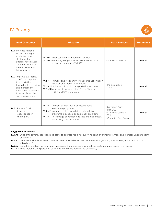## IV. Poverty



#### **Suggested Activities:**

IV.1.A1 Build anti-poverty coalitions and plans to address food insecurity, housing and unemployment and increase understanding of poverty.

IV.1.A2 Determine what businesses/services offer "affordable access" for vulnerable groups (reduced rate, enhanced service, subsidy etc.).

IV.2.A1 Complete a public transportation assessment to understand where transportation gaps exist in the region.

IV.2.A2 Build regional transportation coalitions to increase access and availability.

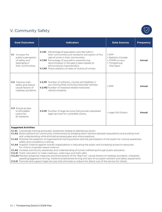## V. Community Safety



|                                                                                                                                                                                                                                                                                                             | <b>Goal Outcomes</b>                                                                           | <b>Indicators</b>                                                                                                                                                                                                                                                                                                                                              | <b>Data Sources</b>                                                                         | <b>Frequency</b> |
|-------------------------------------------------------------------------------------------------------------------------------------------------------------------------------------------------------------------------------------------------------------------------------------------------------------|------------------------------------------------------------------------------------------------|----------------------------------------------------------------------------------------------------------------------------------------------------------------------------------------------------------------------------------------------------------------------------------------------------------------------------------------------------------------|---------------------------------------------------------------------------------------------|------------------|
|                                                                                                                                                                                                                                                                                                             | V.1 Increase the<br>public's perception<br>of safety and<br>belonging in<br>their communities. | <b>V.1.M1</b> Percentage of population who feel safe in<br>their communities and residents' perception of the<br>rate of crime in their communities.<br><b>V.1.M2</b> Percentage of population experiencing<br>discrimination in the past 5 years based on<br>ethnocultural characteristics.<br><b>V.1.M3</b> Police statistics of rates of victims of crimes. | $\cdot$ OPP<br>• Statistics Canada<br>• CSWB surveys<br>• Timiskaming<br><b>Vital Signs</b> | Annual           |
|                                                                                                                                                                                                                                                                                                             | V.2 Improve road<br>safety and reduce<br>causal factors of<br>roadway accidents.               | V.2.M1 Number of collisions, injuries and fatalities in<br>our communities involving motorized vehicles.<br>V.2.M2 Number of impaired related motorized<br>vehicle incidents.                                                                                                                                                                                  | $\cdot$ OPP                                                                                 | Annual           |
|                                                                                                                                                                                                                                                                                                             | V.3 Ensure access<br>to affordable<br>justice for<br>all residents.                            | V.3.M1 Number of legal services that provide subsidized<br>legal services for vulnerable clients.                                                                                                                                                                                                                                                              | • Legal Aid Ontario                                                                         | Annual           |
| <b>Suggested Activities:</b><br>V.1.A1 Coordinate training and public awareness related to addressing racism.<br>V.1.A2 Build coalitions for community cohesiveness by breaking down barriers between populations and building trust<br>and understanding while eliminating stereotypes and misconceptions. |                                                                                                |                                                                                                                                                                                                                                                                                                                                                                |                                                                                             |                  |

- V.1.A3 Promote the adoption of organizational training policies and the participation of the public for cultural awareness, safety and competency training.
- V.1.A4 Support violence against women organizations in educating the public and increasing access to resources for victims of gender-based violence.
- V.1.A5 Increase community awareness and understanding of human trafficking through public education.
- V.2.A1 Public education to make roadways, waterways and trails safer.
- V.2.A2 Maintain proactive measures and enforcement of the "Big Four" causal factors of roadway accidents. (Impaired, speeding/aggressive driving, inattentive/distracted driving and lack of occupant restraint and safety equipment).
- V.3.A1 Promote and support legal services that eliminate or reduce the direct cost of the service for clients.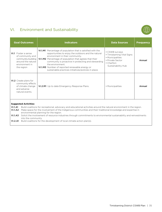## VI. Environment and Sustainability



| <b>Goal Outcomes</b>                                                                                                                                                                                                                                                                                                                                                                                                                                                                                   | <b>Indicators</b>                                                                                                                                                                                                                                                                                                                                                                                           | <b>Data Sources</b>                                                                                                           | <b>Frequency</b> |  |  |
|--------------------------------------------------------------------------------------------------------------------------------------------------------------------------------------------------------------------------------------------------------------------------------------------------------------------------------------------------------------------------------------------------------------------------------------------------------------------------------------------------------|-------------------------------------------------------------------------------------------------------------------------------------------------------------------------------------------------------------------------------------------------------------------------------------------------------------------------------------------------------------------------------------------------------------|-------------------------------------------------------------------------------------------------------------------------------|------------------|--|--|
| <b>VI.1</b> Foster a sense<br>of community and<br>community building<br>around the natural<br>environment in<br>the region                                                                                                                                                                                                                                                                                                                                                                             | <b>VI.1.M1</b> Percentage of population that is satisfied with the<br>opportunities to enjoy the outdoors and the natural<br>environment in their community.<br>VI.1.M2 Percentage of population that agrees that their<br>community is proactive in protecting and stewarding<br>the environment<br>VI.1.M3 Number of reported renewable energy or<br>sustainable practices initiatives/policies in place. | • CSWB surveys<br>• Timiskaming Vital Signs<br>• Municipalities<br>• Private Sector<br>$\cdot$ Charlton<br>Sustainability Hub | Annual           |  |  |
| VI.2 Create plans for<br>community effects<br>of climate change<br>and adverse<br>natural events.                                                                                                                                                                                                                                                                                                                                                                                                      | VI.2.M1 Up to date Emergency Response Plans.                                                                                                                                                                                                                                                                                                                                                                | • Municipalities                                                                                                              | Annual           |  |  |
| <b>Suggested Activities:</b><br><b>VI.1.A1</b><br>Build coalitions for recreational, advocacy and educational activities around the natural environment in the region.<br>Make space for the involvement of the Indigenous communities and their traditional knowledge and expertise in<br>VI.1.A2<br>environmental planning for the region.<br>VI.1.A3<br>Solicit the involvement of resource industries through commitments to environmental sustainability and reinvestments<br>into the community. |                                                                                                                                                                                                                                                                                                                                                                                                             |                                                                                                                               |                  |  |  |

VI.2.A1 Build coalitions for the development of local climate action plan(s).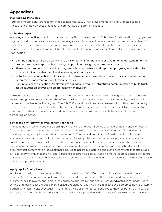## **Appendixes**

#### **Plan Guiding Principles**

Four guiding principles are recommended to help the CSWB Plan's implementation and ultimate success. These are informed by best practices for community development initiatives.

#### **Collective Impact**

A strategy of collective impact is important for the Plan to be successful. This form of collaboration brings people together in a structured way towards a common agenda and plan of action to address a complex social problem.<sup>41</sup> The collective impact approach is characterized by five core elements that facilitate effective cross-sector collaboration and the resulting population-level impacts. The underlying elements of collective impact for the Plan include:

- Common agenda: All participants share a vision for change that includes a common understanding of the problem and a joint approach to solving the problem through agreed-upon actions.
- Shared measurement: All participants agree on how to measure and report on progress, with a shortlist of common indicators identified to drive learning and improvement.
- Mutually reinforcing activities: A diverse set of stakeholders, typically across sectors, coordinate a set of differentiated and mutually reinforcing activities.
- Continuous communication: All players are engaged in frequent, structured communication to build trust, assure mutual objectives and create common motivation.

Partnerships are critical to addressing community risk issues. Many community challenges cut across multiple sectors and government ministries, therefore coordination and activities by several community agencies will be needed to achieve the Plan's goals. The CSWB Plan actions will enhance partnerships within the community and increase inter-agency partnership. The support of agencies' senior leadership is critical, to empower staff to prioritize partnerships and sustain and build momentum for cross-agency initiatives when faced with competing priorities.

#### **Social and environmental determinants of health**

The conditions in which people are born, grow, work, live and age influence their overall health and well-being. These conditions, known as the social determinants of health, include social and economic factors that can positively or negatively influence health outcomes.<sup>42</sup> The social determinants of health can include income, employment and working conditions, education and literacy, childhood experiences, physical environments, social supports and coping skills, healthy behaviours, access to health services, genetic dispositions, gender, culture and race/racism. Likewise, several environmental factors, such as outdoor and household air pollution, drinking water contamination, occupational exposure to hazardous materials and built environments that discourage physical activity, influence the risk and experience of chronic disease. Recognizing that factors outside the control of individuals can influence their well-being impacts the types of preventive and upstream actions that are needed to influence population health.

#### **Applying An Equity Lens**

Applying an equity lens is a consistent theme throughout the CSWB Plan. Equity refers to fair, just and respectful treatment that recognizes and acknowledges the need to treat people differently depending on their needs and circumstances. It involves the removal of barriers to address historic and current disadvantages for under-represented and marginalized groups. Marginalized populations face inequities in access and outcomes due to systemic barriers and historic disadvantages. This hinders their ability to feel safe and live to their full potential. As part of an equity lens, there will be consideration of anti-racist, anti-oppressive and culturally safe approaches to the work.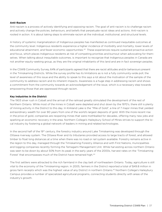#### **Anti-Racism**

Anti-racism is a process of actively identifying and opposing racism. The goal of anti-racism is to challenge racism and actively change the policies, behaviours, and beliefs that perpetuate racist ideas and actions. Anti-racism is rooted in action. It is about taking steps to eliminate racism at the individual, institutional, and structural levels.

A history of systemic marginalization of Indigenous peoples has manifested as continued inequitable outcomes at the community level. Indigenous residents experience a higher incidence of morbidity and mortality, lower levels of educational attainment, and fewer economic opportunities.<sup>43</sup> These experiences require sustained proactive action and focus, which places Indigenous residents at risk of competing priorities and burnout when advocating for themselves. When talking about inequitable outcomes, is important to recognize that Indigenous peoples in Canada are not another equity-seeking group, as they are the original inhabitants of this land and are in fact sovereign peoples.

In the CSWB Community Survey, 64% of participants agreed that there are racist attitudes and/or behaviours present in the Timiskaming Districts. While the survey profile has its limitations as is not a fully community-wide poll, the level of awareness of this issue and the ability to speak to this says a lot about the motivation of the sample of the community to address racism and its inherent impacts. Awareness is a huge step in addressing racism and shows a commitment from the community towards an acknowledgement of the issue, which is a necessary step towards empowering those that are oppressed through racism.

#### **Key Industries in the District**

The 1903 silver rush in Cobalt and the arrival of the railroad greatly stimulated the development of the rest of Northern Ontario. While most of the mines in Cobalt were depleted and shut down by the 1970's, there still is plenty of mining activity in the District to this day. In Kirkland Lake is the "Mile of Gold", a line of 7 major mines that yielded extraordinary wealth for over 80 years from one of the world's largest deposits of gold. With the more recent rise in the price of gold, companies are reopening mines that were mothballed for decades, offering many new jobs and sparking an economic recovery in the area. Northern College's Haileybury School of Mines strives to support the local industry by fostering a global network of leaders in mining and related technologies.

In the second half of the 19<sup>th</sup> century, the forestry industry around Lake Timiskaming was developed through the Ottawa riverway system. The Ottawa River and its tributaries provided access to large tracts of forest, and allowed timber to float long distances at a time when there was no road or rail system available. Forestry remains active in the region to this day, managed through the Timiskaming Forestry Alliance and with First Nations, municipalities and logging companies recently forming the Temagami Management Unit. While harvesting across northern Ontario was seen to be down by about 50% from its peak in the early years of the 2000s, harvest rates on the 'Timiskaming Forest' that encompasses much of the District have remained high.<sup>44</sup>

The first settlers were attracted to the rich farmland in the clay belt of northeastern Ontario. Today, agriculture is still vital to the economy of the Timiskaming region. In 2005, farmers in the District reported a total of \$49.8 million in gross farm receipts which was the highest value of any District in northern Ontario.45 Northern College's Haileybury Campus provides a number of specialized agricultural programs, connecting students directly with areas of the industry's growth.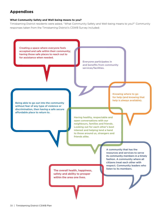## **Appendixes**

#### **What Community Safety and Well-being means to you?**

Timiskaming District residents were asked, "What Community Safety and Well-being means to you?" Community responses taken from the Timiskaming District's CSWB Survey included:

Creating a space where everyone feels accepted and safe within their community; having those safe places to reach out to for assistance when needed.

> Everyone participates in and benefits from community services/facilities.

Being able to go out into the community without fear of any type of violence or discrimination, then having a safe secure affordable place to return to.

Knowing where to go for help (and knowing that help is always available).

Having healthy, respectable and open conversations with our neighbours, families and friends. Looking out for each other's best interest and helping lend a hand to those around us, strangers and friends alike.

The overall health, happiness, **The overall health, happiness,** safety and ability to prosper within the area one lives.

A community that has the resources and services to serve its community members in a timely fashion. A community where all citizens treat each other with respect. Community leaders who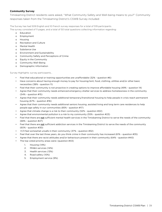#### **Community Survey**

Timiskaming District residents were asked, "What Community Safety and Well-being means to you?" Community responses taken from the Timiskaming District's CSWB Survey included:

The Survey has had 509 English and 10 French survey responses for a total of 519 participants.

The survey consisted of 11 pages, and a total of 50 total questions collecting information regarding:

- o Education
- o Employment
- o Housing
- o Recreation and Culture
- o Mental Health
- o Substance Use
- o Environment and Sustainability
- o Community Safety and Perceptions of Crime
- o Equity in the Community
- o Community Well-Being
- o Demographic Information

Survey Highlights: survey participants…

- Feel that educational or training opportunities are unaffordable (32% question #6)
- Have concerns about having enough money to pay for housing/rent, food, clothing, utilities and/or other basic necessities (38% - question 11)
- Feel that their community is not proactive in creating options to improve affordable housing (49% question 14)
- Agree that their community needs enhanced emergency shelter services to address homelessness in the community (54% - question #15)
- Agree that their community needs additional temporary/transitional housing to help people in crisis reach permanent housing (67% - question #16)
- Agree that their community needs additional seniors housing, assisted living and long term care residences to help people age safely in our communities (85% - question #17)
- Agree that climate change is a risk to their community (52% question #22)
- Agree that environmental pollution is a risk to my community (55% question #23)
- Feel that there are not sufficient mental health services in the Timiskaming District to serve the needs of the community (68% - question #27)
- Feel that there are not sufficient addiction services in the Timiskaming District to serve the needs of the community (60% - question #30)
- >1/3 feel somewhat unsafe in their community (37% question #32)
- Feel that over the last three years, do you think crime in their community has increased (61% question #35)
- Agree that there are racist attitudes and/or behaviours present in their community (64% question #40)
	- The top voted priority areas were: (question #43)
		- 1. Housing (14%)
		- 2. MH&A services (14%)
		- 3. Health services (13%)
		- 4. Road safety (10%)
		- 5. Employment service (9%)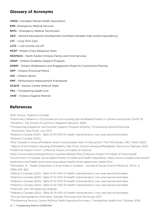## **Glossary of Acronyms**

CMHA –Canadian Mental Health Association EMS –Emergency Medical Services EMTs – Emergency Medical Technicians GED – General Educational Development (certified Canadian high school equivalency) LTC – Long Term Care LICO – Low-income cut-off MCRT –Mobile Crises Response Team NEOFACS – North Eastern Ontario Family and Child Services ODSP – Ontario Disability Support Program OMEM – Ontario Mobilization and Engagement Model for Community Policing OPP – Ontario Provincial Police OW – Ontario Works PMF – Performance Measurement Framework SCWW – Seniors Centre Without Walls TPU – Timiskaming Health Unit VAW – Violence Against Women

## **References**

1 2021 Census. Statistics Canada.

2Preliminary Patterns in Circumstances Surrounding Opioid-Related Deaths in Ontario during the COVID-19 Pandemic. The Ontario Drug Policy Research Network. 2020.

<sup>3</sup>Timiskaming Substance Use Disorder Support Program Briefing. Timiskaming Opioid Poisoning Prevention Task Force. July 2021.

4Statistics Canada (2021). Table 13-10-0113-01 Health characteristics, two-year period estimates. 5Statistics Canada (2021).

6Why Canada is losing affordable rental housing faster than it's being built. The Fifth Estate. CBC. March 2022. 7 Report of the Ontario's Housing Affordability Task Force. Ontario Housing Affordability Task Force. February 2022. <sup>8</sup>Collective Impact Forum. Collective impact principles of practice.

https://www.collectiveimpactforum.org/sites/default/files/Collective Impact Principles of Practice.pdf 9Government of Canada. Social determinants of health and health inequalities. https://www.canada.ca/en/publichealth/services/health-promotion/population-health/what-determines-health.html

10 Pampalon, R. "Health Disparities in Rural Areas in Quebec." Journal of Social Science Medicine. 33 no. 4, (1991):355-360.

11Statistics Canada (2021). Table 13-10-0113-01 Health characteristics, two-year period estimates.

<sup>12</sup>Statistics Canada (2021). Table 13-10-0113-01 Health characteristics, two-year period estimates.

<sup>13</sup>Statistics Canada (2021). Table 13-10-0113-01 Health characteristics, two-year period estimates.

<sup>14</sup>Statistics Canada (2021). Table 13-10-0113-01 Health characteristics, two-year period estimates. 15Interview with Temiskaming Hospital.

<sup>16</sup>Statistics Canada (2021). Table 13-10-0113-01 Health characteristics, two-year period estimates.

17Annual Demographics Estimates: Canada, Provinces and Territories, 2017

18Timiskaming Seniors; Centre Without Walls Executive Summary. Timiskaming Health Unit. October 2019.